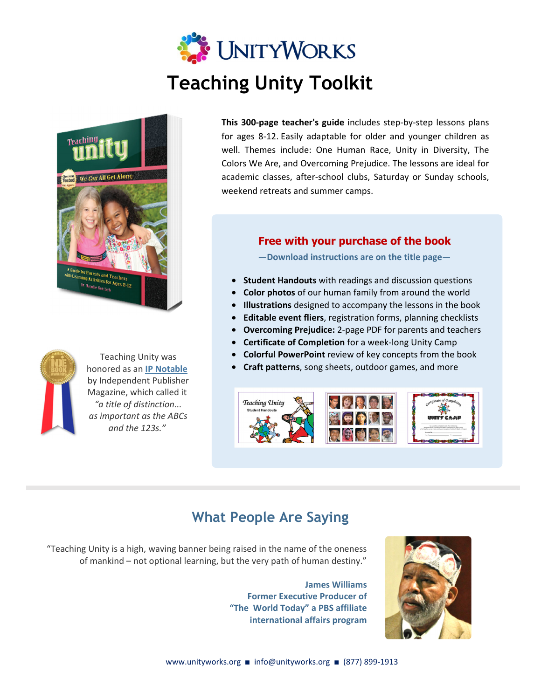## **UNITYWORKS Teaching Unity Toolkit**



Teaching Unity was honored as an **IP Notable** [by Independent Publisher](https://www.independentpublisher.com/notable.php?page=25)  Magazine, which called it *"a title of distinction... as important as the ABCs and the 123s."* 

**This 300-page teacher's guide** includes step-by-step lessons plans for ages 8-12. Easily adaptable for older and younger children as well. Themes include: One Human Race, Unity in Diversity, The Colors We Are, and Overcoming Prejudice. The lessons are ideal for academic classes, after-school clubs, Saturday or Sunday schools, weekend retreats and summer camps.

## **Free with your purchase of the book**

―**Download instructions are on the title page**―

- **Student Handouts** with readings and discussion questions
- **Color photos** of our human family from around the world
- **Illustrations** designed to accompany the lessons in the book
- **Editable event fliers**, registration forms, planning checklists
- **Overcoming Prejudice:** 2-page PDF for parents and teachers
- **Certificate of Completion** for a week-long Unity Camp
- **Colorful PowerPoint** review of key concepts from the book
- **Craft patterns**, song sheets, outdoor games, and more



## **What People Are Saying**

"Teaching Unity is a high, waving banner being raised in the name of the oneness of mankind – not optional learning, but the very path of human destiny."

> **James Williams Former Executive Producer of "The World Today" a PBS affiliate international affairs program**